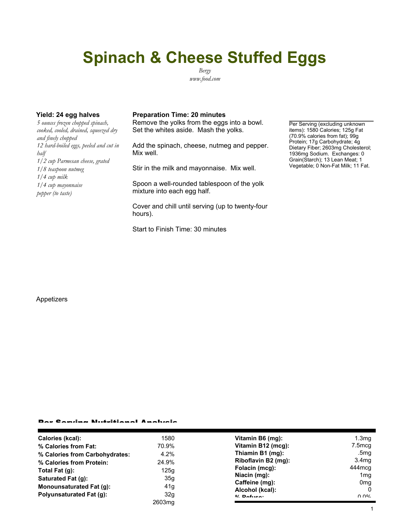# **Spinach & Cheese Stuffed Eggs**

*Bergy www.food.com*

*5 ounces frozen chopped spinach, cooked, cooled, drained, squeezed dry and finely chopped 12 hard-boiled eggs, peeled and cut in half 1/2 cup Parmesan cheese, grated 1/8 teaspoon nutmeg 1/4 cup milk 1/4 cup mayonnaise pepper (to taste)*

#### **Yield: 24 egg halves Preparation Time: 20 minutes**

Remove the yolks from the eggs into a bowl. Set the whites aside. Mash the yolks.

Add the spinach, cheese, nutmeg and pepper. Mix well.

Stir in the milk and mayonnaise. Mix well.

Spoon a well-rounded tablespoon of the yolk mixture into each egg half.

Cover and chill until serving (up to twenty-four hours).

Start to Finish Time: 30 minutes

Per Serving (excluding unknown items): 1580 Calories; 125g Fat (70.9% calories from fat); 99g Protein; 17g Carbohydrate; 4g Dietary Fiber; 2603mg Cholesterol; 1936mg Sodium. Exchanges: 0 Grain(Starch); 13 Lean Meat; 1 Vegetable; 0 Non-Fat Milk; 11 Fat.

#### Appetizers

### Per Serving Nutritional Analysis

| Calories (kcal):               | 1580   | Vitamin B6 (mg):    | 1.3 <sub>mg</sub> |
|--------------------------------|--------|---------------------|-------------------|
| % Calories from Fat:           | 70.9%  | Vitamin B12 (mcg):  | 7.5mcg            |
| % Calories from Carbohydrates: | 4.2%   | Thiamin B1 (mg):    | .5mg              |
| % Calories from Protein:       | 24.9%  | Riboflavin B2 (mg): | 3.4 <sub>mq</sub> |
| Total Fat $(q)$ :              | 125q   | Folacin (mcg):      | 444 mcg           |
| Saturated Fat (g):             | 35g    | Niacin (mg):        | 1 <sub>mq</sub>   |
|                                |        | Caffeine (mg):      | 0 <sub>m</sub> a  |
| Monounsaturated Fat (g):       | 41g    | Alcohol (kcal):     |                   |
| Polyunsaturated Fat (q):       | 32g    |                     |                   |
|                                |        | $0/2$ Pofileon      | $\cap$ $\cap$ %   |
|                                | 2603mg |                     |                   |